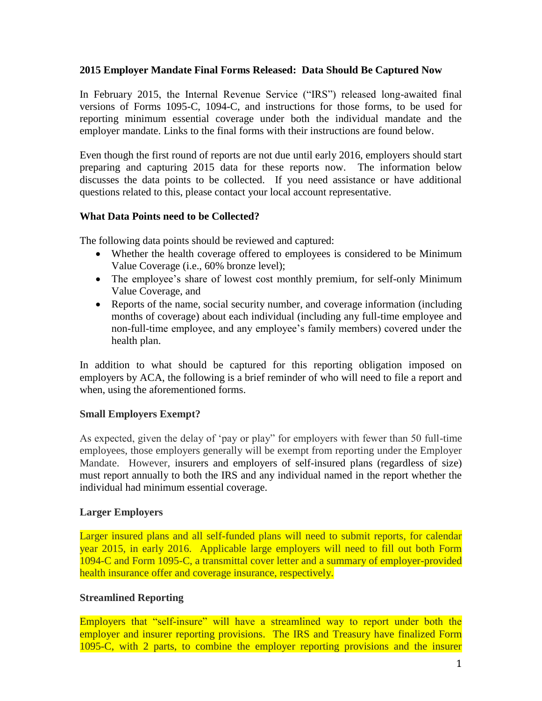### **2015 Employer Mandate Final Forms Released: Data Should Be Captured Now**

In February 2015, the Internal Revenue Service ("IRS") released long-awaited final versions of Forms 1095-C, 1094-C, and instructions for those forms, to be used for reporting minimum essential coverage under both the individual mandate and the employer mandate. Links to the final forms with their instructions are found below.

Even though the first round of reports are not due until early 2016, employers should start preparing and capturing 2015 data for these reports now. The information below discusses the data points to be collected. If you need assistance or have additional questions related to this, please contact your local account representative.

## **What Data Points need to be Collected?**

The following data points should be reviewed and captured:

- Whether the health coverage offered to employees is considered to be Minimum Value Coverage (i.e., 60% bronze level);
- The employee's share of lowest cost monthly premium, for self-only Minimum Value Coverage, and
- Reports of the name, social security number, and coverage information (including months of coverage) about each individual (including any full-time employee and non-full-time employee, and any employee's family members) covered under the health plan.

In addition to what should be captured for this reporting obligation imposed on employers by ACA, the following is a brief reminder of who will need to file a report and when, using the aforementioned forms.

# **Small Employers Exempt?**

As expected, given the delay of 'pay or play" for employers with fewer than 50 full-time employees, those employers generally will be exempt from reporting under the Employer Mandate. However, insurers and employers of self-insured plans (regardless of size) must report annually to both the IRS and any individual named in the report whether the individual had minimum essential coverage.

### **Larger Employers**

Larger insured plans and all self-funded plans will need to submit reports, for calendar year 2015, in early 2016. Applicable large employers will need to fill out both Form 1094-C and Form 1095-C, a transmittal cover letter and a summary of employer-provided health insurance offer and coverage insurance, respectively.

### **Streamlined Reporting**

Employers that "self-insure" will have a streamlined way to report under both the employer and insurer reporting provisions. The IRS and Treasury have finalized Form 1095-C, with 2 parts, to combine the employer reporting provisions and the insurer